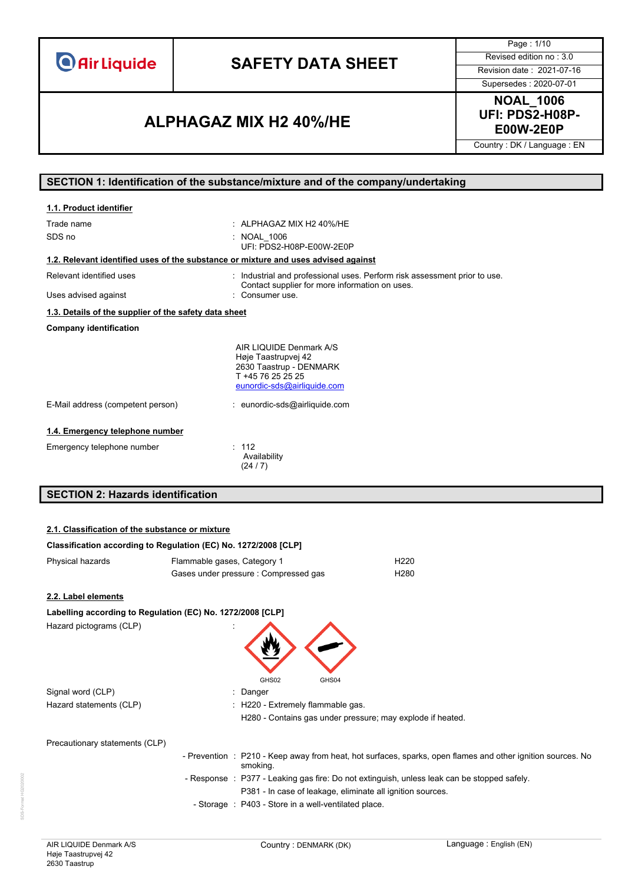# **SAFETY DATA SHEET** Revised edition no : 3.0

Page : 1/10

Supersedes : 2020-07-01

### **E00W-2E0P ALPHAGAZ MIX H2 40%/HE**

**NOAL\_1006 UFI: PDS2-H08P-**

Country : DK / Language : EN

### **SECTION 1: Identification of the substance/mixture and of the company/undertaking**

| 1.1. Product identifier                                                            |                                                                                                                               |
|------------------------------------------------------------------------------------|-------------------------------------------------------------------------------------------------------------------------------|
| Trade name                                                                         | $\pm$ ALPHAGAZ MIX H2 40%/HE                                                                                                  |
| SDS no                                                                             | : NOAL 1006<br>UFI PDS2-H08P-F00W-2F0P                                                                                        |
| 1.2. Relevant identified uses of the substance or mixture and uses advised against |                                                                                                                               |
| Relevant identified uses                                                           | : Industrial and professional uses. Perform risk assessment prior to use.<br>Contact supplier for more information on uses.   |
| Uses advised against                                                               | : Consumer use.                                                                                                               |
| 1.3. Details of the supplier of the safety data sheet                              |                                                                                                                               |
| <b>Company identification</b>                                                      |                                                                                                                               |
|                                                                                    | AIR LIQUIDE Denmark A/S<br>Høje Taastrupvej 42<br>2630 Taastrup - DENMARK<br>T +45 76 25 25 25<br>eunordic-sds@airliquide.com |
| E-Mail address (competent person)                                                  | : eunordic-sds@airliquide.com                                                                                                 |
| 1.4. Emergency telephone number                                                    |                                                                                                                               |
| Emergency telephone number                                                         | : 112<br>Availability<br>(24/7)                                                                                               |
| <b>SECTION 2: Hazards identification</b>                                           |                                                                                                                               |

#### **2.1. Classification of the substance or mixture**

| <u> Olassincation of the substance of infixture</u> |                                                                 |                                                                                                             |
|-----------------------------------------------------|-----------------------------------------------------------------|-------------------------------------------------------------------------------------------------------------|
|                                                     | Classification according to Regulation (EC) No. 1272/2008 [CLP] |                                                                                                             |
| Physical hazards                                    | Flammable gases, Category 1                                     | H <sub>220</sub>                                                                                            |
|                                                     | Gases under pressure: Compressed gas                            | H <sub>280</sub>                                                                                            |
| 2.2. Label elements                                 |                                                                 |                                                                                                             |
|                                                     | Labelling according to Regulation (EC) No. 1272/2008 [CLP]      |                                                                                                             |
| Hazard pictograms (CLP)                             | GHS02<br>GHS04                                                  |                                                                                                             |
| Signal word (CLP)                                   | Danger                                                          |                                                                                                             |
| Hazard statements (CLP)                             | : H220 - Extremely flammable gas.                               |                                                                                                             |
|                                                     |                                                                 | H280 - Contains gas under pressure; may explode if heated.                                                  |
| Precautionary statements (CLP)                      |                                                                 |                                                                                                             |
|                                                     | smoking.                                                        | - Prevention : P210 - Keep away from heat, hot surfaces, sparks, open flames and other ignition sources. No |
|                                                     |                                                                 | - Response : P377 - Leaking gas fire: Do not extinguish, unless leak can be stopped safely.                 |
|                                                     | P381 - In case of leakage, eliminate all ignition sources.      |                                                                                                             |
|                                                     | - Storage : P403 - Store in a well-ventilated place.            |                                                                                                             |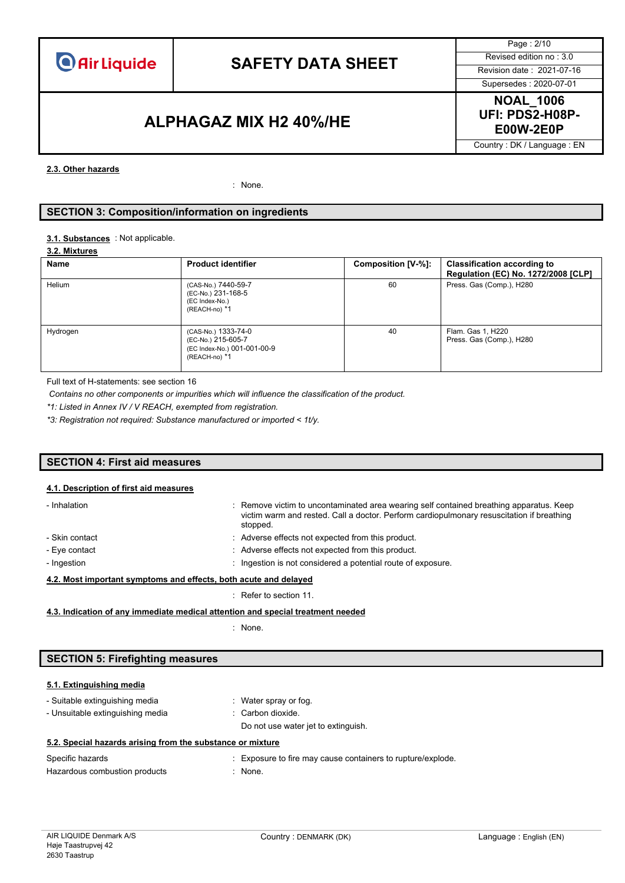

# **SAFETY DATA SHEET** Revised edition no : 3.0

Page : 2/10 Supersedes : 2020-07-01

### **E00W-2E0P ALPHAGAZ MIX H2 40%/HE**

**NOAL\_1006 UFI: PDS2-H08P-**

Country : DK / Language : EN

#### **2.3. Other hazards**

: None.

#### **SECTION 3: Composition/information on ingredients**

#### : Not applicable. **3.1. Substances**

#### **3.2. Mixtures**

| Name     | <b>Product identifier</b>                                                                 | Composition [V-%]: | <b>Classification according to</b><br>Regulation (EC) No. 1272/2008 [CLP] |
|----------|-------------------------------------------------------------------------------------------|--------------------|---------------------------------------------------------------------------|
| Helium   | (CAS-No.) 7440-59-7<br>(EC-No.) 231-168-5<br>(EC Index-No.)<br>(REACH-no) *1              | 60                 | Press. Gas (Comp.), H280                                                  |
| Hydrogen | (CAS-No.) 1333-74-0<br>(EC-No.) 215-605-7<br>(EC Index-No.) 001-001-00-9<br>(REACH-no) *1 | 40                 | Flam. Gas 1, H220<br>Press. Gas (Comp.), H280                             |

Full text of H-statements: see section 16

*Contains no other components or impurities which will influence the classification of the product.*

*\*1: Listed in Annex IV / V REACH, exempted from registration.*

*\*3: Registration not required: Substance manufactured or imported < 1t/y.*

#### **SECTION 4: First aid measures**

#### **4.1. Description of first aid measures**

| - Inhalation                                                     | : Remove victim to uncontaminated area wearing self contained breathing apparatus. Keep<br>victim warm and rested. Call a doctor. Perform cardiopulmonary resuscitation if breathing<br>stopped. |  |
|------------------------------------------------------------------|--------------------------------------------------------------------------------------------------------------------------------------------------------------------------------------------------|--|
| - Skin contact                                                   | : Adverse effects not expected from this product.                                                                                                                                                |  |
| - Eye contact                                                    | : Adverse effects not expected from this product.                                                                                                                                                |  |
| - Ingestion                                                      | : Ingestion is not considered a potential route of exposure.                                                                                                                                     |  |
| 4.2. Most important symptoms and effects, both acute and delayed |                                                                                                                                                                                                  |  |

: Refer to section 11.

**4.3. Indication of any immediate medical attention and special treatment needed**

: None.

#### **SECTION 5: Firefighting measures**

#### **5.1. Extinguishing media**

- Suitable extinguishing media : Water spray or fog. - Unsuitable extinguishing media : Carbon dioxide.
	- Do not use water jet to extinguish.

#### **5.2. Special hazards arising from the substance or mixture**

| Specific hazards              | : Exposure to fire may cause containers to rupture/explode. |
|-------------------------------|-------------------------------------------------------------|
| Hazardous combustion products | : None.                                                     |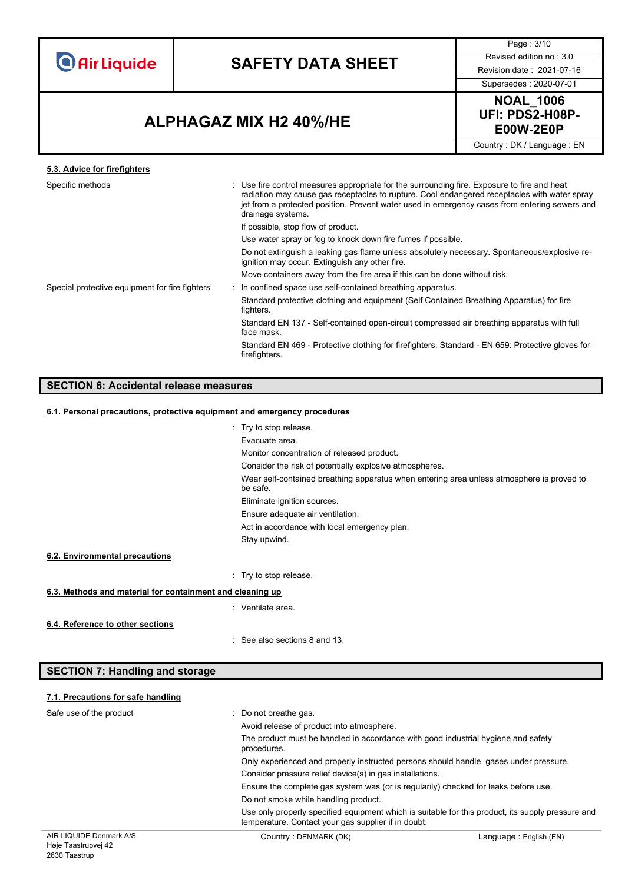# **SAFETY DATA SHEET** Revised edition no : 3.0

Page : 3/10

### Supersedes : 2020-07-01

**NOAL\_1006 UFI: PDS2-H08P-**

Country : DK / Language : EN

### **E00W-2E0P ALPHAGAZ MIX H2 40%/HE**

#### **5.3. Advice for firefighters** Specific methods : Use fire control measures appropriate for the surrounding fire. Exposure to fire and heat radiation may cause gas receptacles to rupture. Cool endangered receptacles with water spray jet from a protected position. Prevent water used in emergency cases from entering sewers and drainage systems. If possible, stop flow of product. Use water spray or fog to knock down fire fumes if possible. Do not extinguish a leaking gas flame unless absolutely necessary. Spontaneous/explosive reignition may occur. Extinguish any other fire. Move containers away from the fire area if this can be done without risk. Special protective equipment for fire fighters : In confined space use self-contained breathing apparatus. Standard protective clothing and equipment (Self Contained Breathing Apparatus) for fire fighters. Standard EN 137 - Self-contained open-circuit compressed air breathing apparatus with full face mask. Standard EN 469 - Protective clothing for firefighters. Standard - EN 659: Protective gloves for firefighters.

### **SECTION 6: Accidental release measures**

#### **6.1. Personal precautions, protective equipment and emergency procedures**

|                                                           | : Try to stop release.                                                                                |
|-----------------------------------------------------------|-------------------------------------------------------------------------------------------------------|
|                                                           | Evacuate area.                                                                                        |
|                                                           | Monitor concentration of released product.                                                            |
|                                                           | Consider the risk of potentially explosive atmospheres.                                               |
|                                                           | Wear self-contained breathing apparatus when entering area unless atmosphere is proved to<br>be safe. |
|                                                           | Eliminate ignition sources.                                                                           |
|                                                           | Ensure adequate air ventilation.                                                                      |
|                                                           | Act in accordance with local emergency plan.                                                          |
|                                                           | Stay upwind.                                                                                          |
| 6.2. Environmental precautions                            |                                                                                                       |
|                                                           | : Try to stop release.                                                                                |
| 6.3. Methods and material for containment and cleaning up |                                                                                                       |
|                                                           | : Ventilate area.                                                                                     |
| 6.4. Reference to other sections                          | $\therefore$ See also sections 8 and 13.                                                              |

### **SECTION 7: Handling and storage**

### **7.1. Precautions for safe handling**

| Safe use of the product | Do not breathe gas.                                                                                                                                      |                        |  |  |  |
|-------------------------|----------------------------------------------------------------------------------------------------------------------------------------------------------|------------------------|--|--|--|
|                         | Avoid release of product into atmosphere.                                                                                                                |                        |  |  |  |
|                         | The product must be handled in accordance with good industrial hygiene and safety<br>procedures.                                                         |                        |  |  |  |
|                         | Only experienced and properly instructed persons should handle gases under pressure.                                                                     |                        |  |  |  |
|                         | Consider pressure relief device(s) in gas installations.                                                                                                 |                        |  |  |  |
|                         | Ensure the complete gas system was (or is regularily) checked for leaks before use.                                                                      |                        |  |  |  |
|                         | Do not smoke while handling product.                                                                                                                     |                        |  |  |  |
|                         | Use only properly specified equipment which is suitable for this product, its supply pressure and<br>temperature. Contact your gas supplier if in doubt. |                        |  |  |  |
| AIR LIQUIDE Denmark A/S | Country: DENMARK (DK)                                                                                                                                    | Language: English (EN) |  |  |  |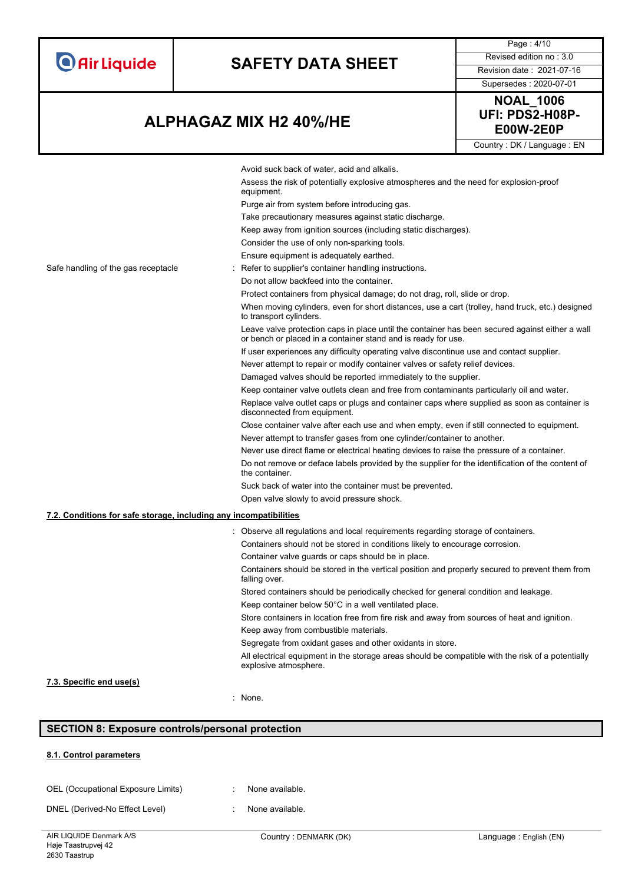|                                     |                                                                                                                                                                                                                                                                                                                                                                                                                                                                                                                                  | Page: 4/10                                                                                                                                                       |  |  |
|-------------------------------------|----------------------------------------------------------------------------------------------------------------------------------------------------------------------------------------------------------------------------------------------------------------------------------------------------------------------------------------------------------------------------------------------------------------------------------------------------------------------------------------------------------------------------------|------------------------------------------------------------------------------------------------------------------------------------------------------------------|--|--|
| <b>O</b> Air Liquide                | <b>SAFETY DATA SHEET</b>                                                                                                                                                                                                                                                                                                                                                                                                                                                                                                         | Revised edition no: 3.0                                                                                                                                          |  |  |
|                                     |                                                                                                                                                                                                                                                                                                                                                                                                                                                                                                                                  | Revision date: 2021-07-16                                                                                                                                        |  |  |
|                                     |                                                                                                                                                                                                                                                                                                                                                                                                                                                                                                                                  | Supersedes: 2020-07-01                                                                                                                                           |  |  |
| <b>ALPHAGAZ MIX H2 40%/HE</b>       |                                                                                                                                                                                                                                                                                                                                                                                                                                                                                                                                  | <b>NOAL_1006</b><br>UFI: PDS2-H08P-<br><b>E00W-2E0P</b>                                                                                                          |  |  |
|                                     |                                                                                                                                                                                                                                                                                                                                                                                                                                                                                                                                  | Country: DK / Language: EN                                                                                                                                       |  |  |
| Safe handling of the gas receptacle | Avoid suck back of water, acid and alkalis.<br>Assess the risk of potentially explosive atmospheres and the need for explosion-proof<br>equipment.<br>Purge air from system before introducing gas.<br>Take precautionary measures against static discharge.<br>Keep away from ignition sources (including static discharges).<br>Consider the use of only non-sparking tools.<br>Ensure equipment is adequately earthed.<br>: Refer to supplier's container handling instructions.<br>Do not allow backfeed into the container. |                                                                                                                                                                  |  |  |
|                                     | Protect containers from physical damage; do not drag, roll, slide or drop.                                                                                                                                                                                                                                                                                                                                                                                                                                                       |                                                                                                                                                                  |  |  |
|                                     | to transport cylinders.                                                                                                                                                                                                                                                                                                                                                                                                                                                                                                          | When moving cylinders, even for short distances, use a cart (trolley, hand truck, etc.) designed                                                                 |  |  |
|                                     |                                                                                                                                                                                                                                                                                                                                                                                                                                                                                                                                  | Leave valve protection caps in place until the container has been secured against either a wall<br>or bench or placed in a container stand and is ready for use. |  |  |
|                                     |                                                                                                                                                                                                                                                                                                                                                                                                                                                                                                                                  | If user experiences any difficulty operating valve discontinue use and contact supplier.                                                                         |  |  |
|                                     |                                                                                                                                                                                                                                                                                                                                                                                                                                                                                                                                  | Never attempt to repair or modify container valves or safety relief devices.                                                                                     |  |  |
|                                     |                                                                                                                                                                                                                                                                                                                                                                                                                                                                                                                                  | Damaged valves should be reported immediately to the supplier.                                                                                                   |  |  |
|                                     | Keep container valve outlets clean and free from contaminants particularly oil and water.                                                                                                                                                                                                                                                                                                                                                                                                                                        |                                                                                                                                                                  |  |  |
|                                     | Replace valve outlet caps or plugs and container caps where supplied as soon as container is<br>disconnected from equipment.                                                                                                                                                                                                                                                                                                                                                                                                     |                                                                                                                                                                  |  |  |
|                                     | Close container valve after each use and when empty, even if still connected to equipment.                                                                                                                                                                                                                                                                                                                                                                                                                                       |                                                                                                                                                                  |  |  |
|                                     |                                                                                                                                                                                                                                                                                                                                                                                                                                                                                                                                  | Never attempt to transfer gases from one cylinder/container to another.                                                                                          |  |  |
|                                     |                                                                                                                                                                                                                                                                                                                                                                                                                                                                                                                                  | Never use direct flame or electrical heating devices to raise the pressure of a container.                                                                       |  |  |
|                                     | Do not remove or deface labels provided by the supplier for the identification of the content of<br>the container.                                                                                                                                                                                                                                                                                                                                                                                                               |                                                                                                                                                                  |  |  |
|                                     | Suck back of water into the container must be prevented.                                                                                                                                                                                                                                                                                                                                                                                                                                                                         |                                                                                                                                                                  |  |  |
|                                     | Open valve slowly to avoid pressure shock.                                                                                                                                                                                                                                                                                                                                                                                                                                                                                       |                                                                                                                                                                  |  |  |
|                                     | 7.2. Conditions for safe storage, including any incompatibilities                                                                                                                                                                                                                                                                                                                                                                                                                                                                |                                                                                                                                                                  |  |  |
|                                     | : Observe all regulations and local requirements regarding storage of containers.                                                                                                                                                                                                                                                                                                                                                                                                                                                |                                                                                                                                                                  |  |  |
|                                     | Containers should not be stored in conditions likely to encourage corrosion.                                                                                                                                                                                                                                                                                                                                                                                                                                                     |                                                                                                                                                                  |  |  |
|                                     | Container valve guards or caps should be in place.                                                                                                                                                                                                                                                                                                                                                                                                                                                                               |                                                                                                                                                                  |  |  |
|                                     | Containers should be stored in the vertical position and properly secured to prevent them from<br>falling over.                                                                                                                                                                                                                                                                                                                                                                                                                  |                                                                                                                                                                  |  |  |
|                                     | Stored containers should be periodically checked for general condition and leakage.                                                                                                                                                                                                                                                                                                                                                                                                                                              |                                                                                                                                                                  |  |  |
|                                     | Keep container below 50°C in a well ventilated place.                                                                                                                                                                                                                                                                                                                                                                                                                                                                            |                                                                                                                                                                  |  |  |
|                                     | Store containers in location free from fire risk and away from sources of heat and ignition.                                                                                                                                                                                                                                                                                                                                                                                                                                     |                                                                                                                                                                  |  |  |
|                                     | Keep away from combustible materials.                                                                                                                                                                                                                                                                                                                                                                                                                                                                                            |                                                                                                                                                                  |  |  |
|                                     | Segregate from oxidant gases and other oxidants in store.<br>All electrical equipment in the storage areas should be compatible with the risk of a potentially                                                                                                                                                                                                                                                                                                                                                                   |                                                                                                                                                                  |  |  |
| 7.3. Specific end use(s)            | explosive atmosphere.                                                                                                                                                                                                                                                                                                                                                                                                                                                                                                            |                                                                                                                                                                  |  |  |

#### : None.

### **SECTION 8: Exposure controls/personal protection**

### **8.1. Control parameters**

| OEL (Occupational Exposure Limits) | None available. |
|------------------------------------|-----------------|
|                                    |                 |

DNEL (Derived-No Effect Level) : None available.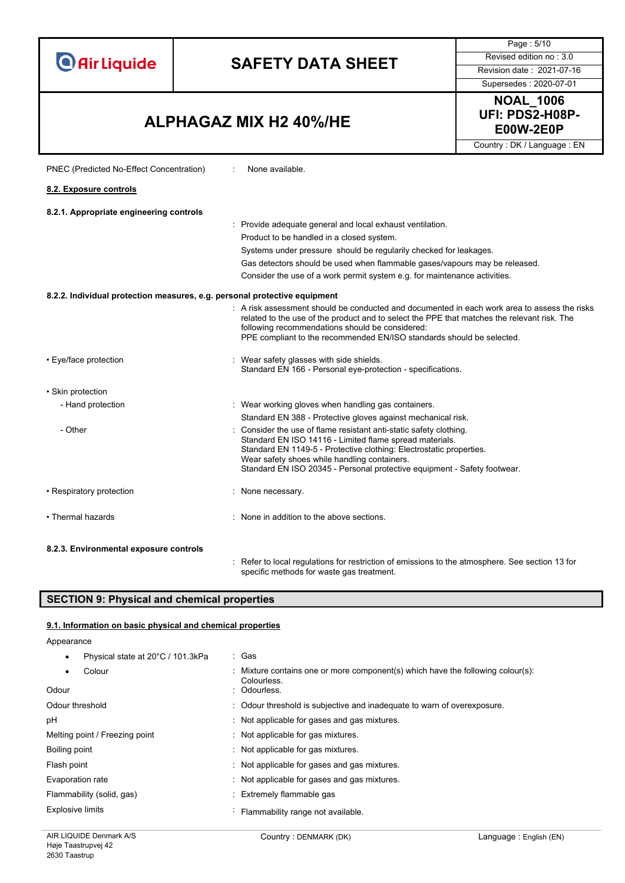# **SAFETY DATA SHEET** Revised edition no : 3.0

Supersedes : 2020-07-01

Page : 5/10

### **E00W-2E0P ALPHAGAZ MIX H2 40%/HE**

PNEC (Predicted No-Effect Concentration) : None available.



Country : DK / Language : EN

| 8.2. Exposure controls                                                    |                                                                                                                                                                                                                                                                                                                                  |
|---------------------------------------------------------------------------|----------------------------------------------------------------------------------------------------------------------------------------------------------------------------------------------------------------------------------------------------------------------------------------------------------------------------------|
| 8.2.1. Appropriate engineering controls                                   |                                                                                                                                                                                                                                                                                                                                  |
|                                                                           | : Provide adequate general and local exhaust ventilation.                                                                                                                                                                                                                                                                        |
|                                                                           | Product to be handled in a closed system.                                                                                                                                                                                                                                                                                        |
|                                                                           | Systems under pressure should be regularily checked for leakages.                                                                                                                                                                                                                                                                |
|                                                                           | Gas detectors should be used when flammable gases/vapours may be released.                                                                                                                                                                                                                                                       |
|                                                                           | Consider the use of a work permit system e.g. for maintenance activities.                                                                                                                                                                                                                                                        |
| 8.2.2. Individual protection measures, e.g. personal protective equipment |                                                                                                                                                                                                                                                                                                                                  |
|                                                                           | . A risk assessment should be conducted and documented in each work area to assess the risks<br>related to the use of the product and to select the PPE that matches the relevant risk. The<br>following recommendations should be considered:<br>PPE compliant to the recommended EN/ISO standards should be selected.          |
| • Eye/face protection                                                     | : Wear safety glasses with side shields.<br>Standard EN 166 - Personal eye-protection - specifications.                                                                                                                                                                                                                          |
| • Skin protection                                                         |                                                                                                                                                                                                                                                                                                                                  |
| - Hand protection                                                         | : Wear working gloves when handling gas containers.                                                                                                                                                                                                                                                                              |
|                                                                           | Standard EN 388 - Protective gloves against mechanical risk.                                                                                                                                                                                                                                                                     |
| - Other                                                                   | : Consider the use of flame resistant anti-static safety clothing.<br>Standard EN ISO 14116 - Limited flame spread materials.<br>Standard EN 1149-5 - Protective clothing: Electrostatic properties.<br>Wear safety shoes while handling containers.<br>Standard EN ISO 20345 - Personal protective equipment - Safety footwear. |
| • Respiratory protection                                                  | : None necessary.                                                                                                                                                                                                                                                                                                                |
| • Thermal hazards                                                         | : None in addition to the above sections.                                                                                                                                                                                                                                                                                        |
| 8.2.3. Environmental exposure controls                                    |                                                                                                                                                                                                                                                                                                                                  |

: Refer to local regulations for restriction of emissions to the atmosphere. See section 13 for specific methods for waste gas treatment.

#### **SECTION 9: Physical and chemical properties**

#### **9.1. Information on basic physical and chemical properties**

Appearance

• Physical state at 20°C / 101.3kPa : Gas

| Colour<br>Odour                | : Mixture contains one or more component(s) which have the following colour(s):<br>Colourless.<br>: Odourless. |  |
|--------------------------------|----------------------------------------------------------------------------------------------------------------|--|
| Odour threshold                | : Odour threshold is subjective and inadequate to warn of overexposure.                                        |  |
| рH                             | : Not applicable for gases and gas mixtures.                                                                   |  |
| Melting point / Freezing point | : Not applicable for gas mixtures.                                                                             |  |
| Boiling point                  | : Not applicable for gas mixtures.                                                                             |  |
| Flash point                    | Not applicable for gases and gas mixtures.                                                                     |  |
| Evaporation rate               | Not applicable for gases and gas mixtures.                                                                     |  |
| Flammability (solid, gas)      | : Extremely flammable gas                                                                                      |  |
| <b>Explosive limits</b>        | Flammability range not available.                                                                              |  |
|                                |                                                                                                                |  |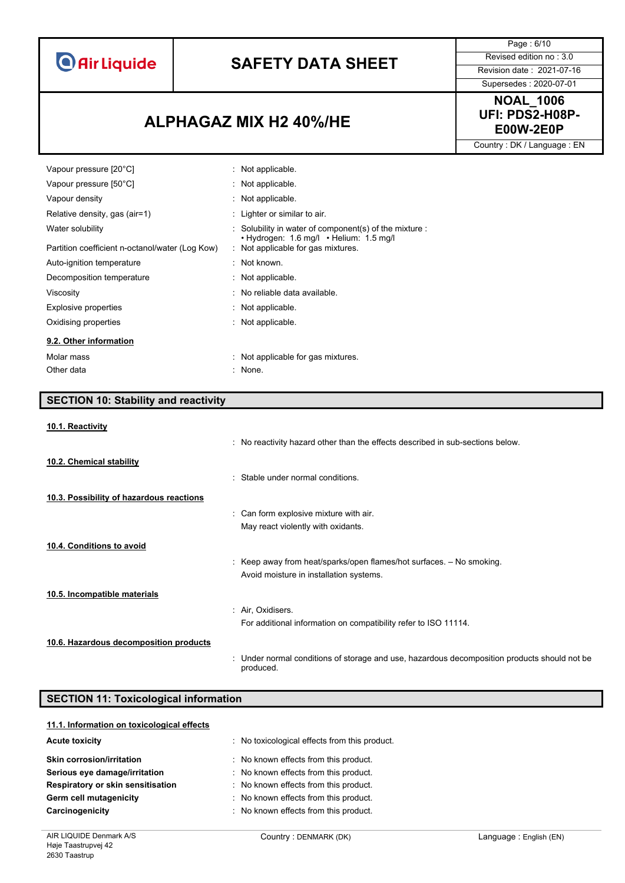# **SAFETY DATA SHEET** Revised edition no : 3.0

Page : 6/10

Supersedes : 2020-07-01

### **E00W-2E0P ALPHAGAZ MIX H2 40%/HE**

**NOAL\_1006 UFI: PDS2-H08P-**

Country : DK / Language : EN

| Vapour pressure [20°C]                          | : Not applicable.                                                             |
|-------------------------------------------------|-------------------------------------------------------------------------------|
| Vapour pressure [50°C]                          | : Not applicable.                                                             |
| Vapour density                                  | : Not applicable.                                                             |
| Relative density, gas (air=1)                   | : Lighter or similar to air.                                                  |
| Water solubility                                | $:$ Solubility in water of component(s) of the mixture $:$                    |
| Partition coefficient n-octanol/water (Log Kow) | • Hydrogen: 1.6 mg/l • Helium: 1.5 mg/l<br>: Not applicable for gas mixtures. |
| Auto-ignition temperature                       | $\therefore$ Not known.                                                       |
| Decomposition temperature                       | : Not applicable.                                                             |
| Viscosity                                       | : No reliable data available.                                                 |
| Explosive properties                            | : Not applicable.                                                             |
| Oxidising properties                            | : Not applicable.                                                             |
| 9.2. Other information                          |                                                                               |
| Molar mass                                      | : Not applicable for gas mixtures.                                            |
| Other data                                      | : None.                                                                       |

### **SECTION 10: Stability and reactivity**

#### **10.1. Reactivity**

|                                          | : No reactivity hazard other than the effects described in sub-sections below.                            |
|------------------------------------------|-----------------------------------------------------------------------------------------------------------|
| 10.2. Chemical stability                 |                                                                                                           |
|                                          | : Stable under normal conditions.                                                                         |
| 10.3. Possibility of hazardous reactions |                                                                                                           |
|                                          | : Can form explosive mixture with air.                                                                    |
|                                          | May react violently with oxidants.                                                                        |
| 10.4. Conditions to avoid                |                                                                                                           |
|                                          | : Keep away from heat/sparks/open flames/hot surfaces. $-$ No smoking.                                    |
|                                          | Avoid moisture in installation systems.                                                                   |
| 10.5. Incompatible materials             |                                                                                                           |
|                                          | : Air, Oxidisers.                                                                                         |
|                                          | For additional information on compatibility refer to ISO 11114.                                           |
| 10.6. Hazardous decomposition products   |                                                                                                           |
|                                          | : Under normal conditions of storage and use, hazardous decomposition products should not be<br>produced. |

#### **SECTION 11: Toxicological information**

| 11.1. Information on toxicological effects |                                             |
|--------------------------------------------|---------------------------------------------|
| <b>Acute toxicity</b>                      | No toxicological effects from this product. |
| <b>Skin corrosion/irritation</b>           | No known effects from this product.         |
| Serious eye damage/irritation              | : No known effects from this product.       |
| Respiratory or skin sensitisation          | No known effects from this product.         |
| Germ cell mutagenicity                     | No known effects from this product.         |
| Carcinogenicity                            | No known effects from this product.         |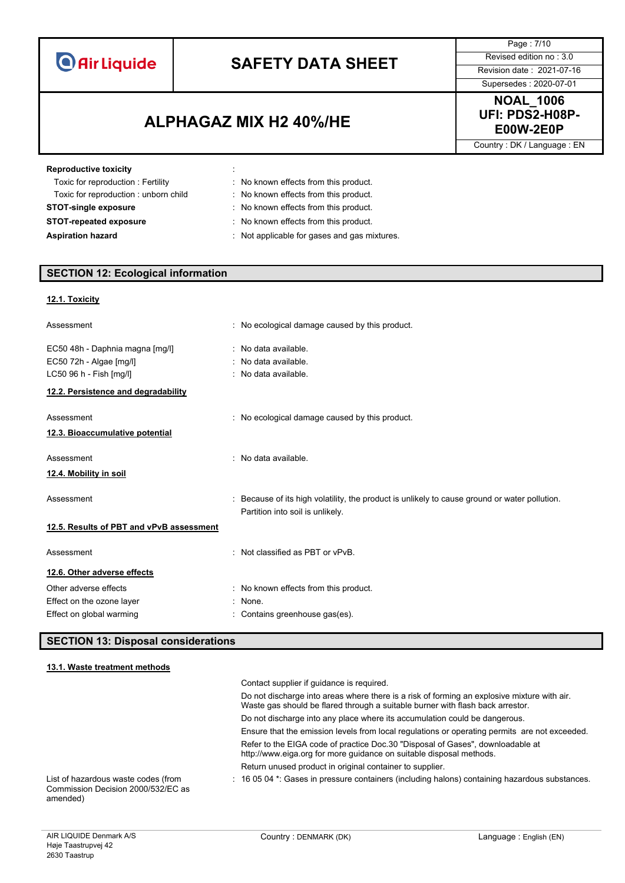# **SAFETY DATA SHEET** Revised edition no : 3.0

**E00W-2E0P ALPHAGAZ MIX H2 40%/HE**

Page : 7/10 Supersedes : 2020-07-01

**NOAL\_1006 UFI: PDS2-H08P-**

Country : DK / Language : EN

| <b>Reproductive toxicity</b>         |                                              |
|--------------------------------------|----------------------------------------------|
| Toxic for reproduction: Fertility    | : No known effects from this product.        |
| Toxic for reproduction: unborn child | : No known effects from this product.        |
| <b>STOT-single exposure</b>          | No known effects from this product.          |
| <b>STOT-repeated exposure</b>        | : No known effects from this product.        |
| <b>Aspiration hazard</b>             | : Not applicable for gases and gas mixtures. |

### **SECTION 12: Ecological information**

#### **12.1. Toxicity**

| Assessment                                                                                                                   | : No ecological damage caused by this product.                                                                                  |
|------------------------------------------------------------------------------------------------------------------------------|---------------------------------------------------------------------------------------------------------------------------------|
| EC50 48h - Daphnia magna [mg/l]<br>EC50 72h - Algae [mg/l]<br>LC50 96 h - Fish [mg/l]<br>12.2. Persistence and degradability | : No data available.<br>: No data available.<br>: No data available.                                                            |
| Assessment<br>12.3. Bioaccumulative potential                                                                                | : No ecological damage caused by this product.                                                                                  |
| Assessment<br>12.4. Mobility in soil                                                                                         | : No data available.                                                                                                            |
| Assessment                                                                                                                   | Because of its high volatility, the product is unlikely to cause ground or water pollution.<br>Partition into soil is unlikely. |
| 12.5. Results of PBT and vPvB assessment                                                                                     |                                                                                                                                 |
| Assessment                                                                                                                   | : Not classified as PBT or vPvB.                                                                                                |
| 12.6. Other adverse effects                                                                                                  |                                                                                                                                 |
| Other adverse effects                                                                                                        | : No known effects from this product.                                                                                           |
| Effect on the ozone layer<br>Effect on global warming                                                                        | : None.<br>Contains greenhouse gas(es).                                                                                         |

#### **SECTION 13: Disposal considerations**

#### **13.1. Waste treatment methods**

|                                                                                       | Contact supplier if quidance is required.                                                                                                                                     |
|---------------------------------------------------------------------------------------|-------------------------------------------------------------------------------------------------------------------------------------------------------------------------------|
|                                                                                       | Do not discharge into areas where there is a risk of forming an explosive mixture with air.<br>Waste gas should be flared through a suitable burner with flash back arrestor. |
|                                                                                       | Do not discharge into any place where its accumulation could be dangerous.                                                                                                    |
|                                                                                       | Ensure that the emission levels from local regulations or operating permits are not exceeded.                                                                                 |
|                                                                                       | Refer to the EIGA code of practice Doc.30 "Disposal of Gases", downloadable at<br>http://www.eiga.org for more guidance on suitable disposal methods.                         |
|                                                                                       | Return unused product in original container to supplier.                                                                                                                      |
| List of hazardous waste codes (from<br>Commission Decision 2000/532/EC as<br>amended) | $\pm$ 16 05 04 $^{\star}$ . Gases in pressure containers (including halons) containing hazardous substances.                                                                  |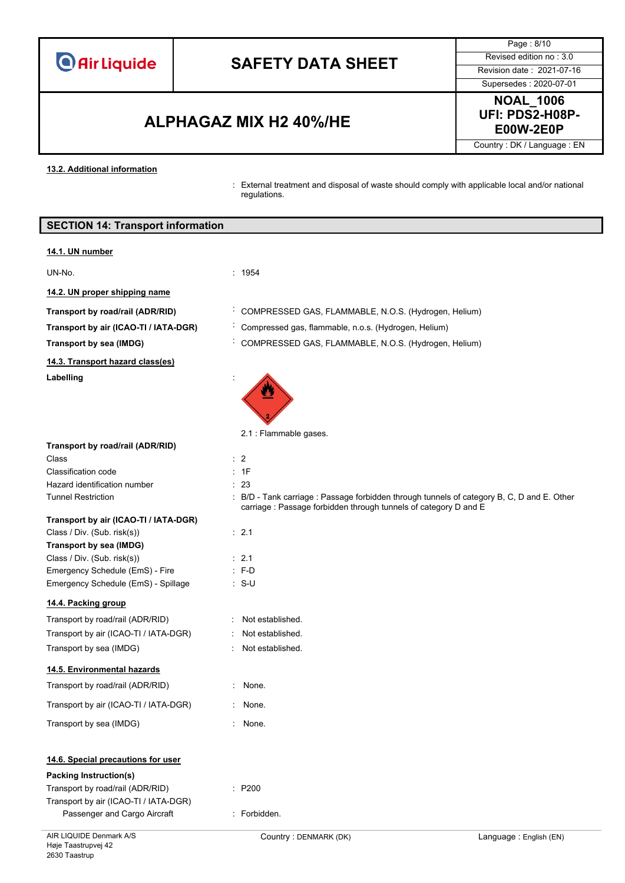# **SAFETY DATA SHEET** Revised edition no : 3.0

**E00W-2E0P ALPHAGAZ MIX H2 40%/HE**

Page : 8/10 Supersedes : 2020-07-01

### **NOAL\_1006 UFI: PDS2-H08P-**

Country : DK / Language : EN

#### **13.2. Additional information**

: External treatment and disposal of waste should comply with applicable local and/or national regulations.

|                                                                       | regulations.                                                                                                                                                   |                        |
|-----------------------------------------------------------------------|----------------------------------------------------------------------------------------------------------------------------------------------------------------|------------------------|
| <b>SECTION 14: Transport information</b>                              |                                                                                                                                                                |                        |
| 14.1. UN number                                                       |                                                                                                                                                                |                        |
| UN-No.                                                                | : 1954                                                                                                                                                         |                        |
| 14.2. UN proper shipping name                                         |                                                                                                                                                                |                        |
| Transport by road/rail (ADR/RID)                                      | COMPRESSED GAS, FLAMMABLE, N.O.S. (Hydrogen, Helium)                                                                                                           |                        |
| Transport by air (ICAO-TI / IATA-DGR)                                 | Compressed gas, flammable, n.o.s. (Hydrogen, Helium)                                                                                                           |                        |
| <b>Transport by sea (IMDG)</b>                                        | COMPRESSED GAS, FLAMMABLE, N.O.S. (Hydrogen, Helium)                                                                                                           |                        |
| 14.3. Transport hazard class(es)                                      |                                                                                                                                                                |                        |
| Labelling                                                             |                                                                                                                                                                |                        |
| Transport by road/rail (ADR/RID)                                      | 2.1 : Flammable gases.                                                                                                                                         |                        |
| Class                                                                 | : 2                                                                                                                                                            |                        |
| Classification code                                                   | : 1F                                                                                                                                                           |                        |
| Hazard identification number                                          | : 23                                                                                                                                                           |                        |
| <b>Tunnel Restriction</b>                                             | : B/D - Tank carriage : Passage forbidden through tunnels of category B, C, D and E. Other<br>carriage : Passage forbidden through tunnels of category D and E |                        |
| Transport by air (ICAO-TI / IATA-DGR)                                 |                                                                                                                                                                |                        |
| Class / Div. (Sub. risk(s))                                           | : 2.1                                                                                                                                                          |                        |
| <b>Transport by sea (IMDG)</b><br>Class / Div. (Sub. risk(s))         | $\therefore$ 2.1                                                                                                                                               |                        |
| Emergency Schedule (EmS) - Fire                                       | $: F-D$                                                                                                                                                        |                        |
| Emergency Schedule (EmS) - Spillage                                   | ∴ S-U                                                                                                                                                          |                        |
| 14.4. Packing group                                                   |                                                                                                                                                                |                        |
| Transport by road/rail (ADR/RID)                                      | : Not established.                                                                                                                                             |                        |
| Transport by air (ICAO-TI / IATA-DGR)                                 | Not established.                                                                                                                                               |                        |
| Transport by sea (IMDG)                                               | Not established.                                                                                                                                               |                        |
| 14.5. Environmental hazards                                           |                                                                                                                                                                |                        |
| Transport by road/rail (ADR/RID)                                      | : None.                                                                                                                                                        |                        |
| Transport by air (ICAO-TI / IATA-DGR)                                 | None.                                                                                                                                                          |                        |
| Transport by sea (IMDG)                                               | : None.                                                                                                                                                        |                        |
| 14.6. Special precautions for user                                    |                                                                                                                                                                |                        |
| <b>Packing Instruction(s)</b>                                         |                                                                                                                                                                |                        |
| Transport by road/rail (ADR/RID)                                      | : P200                                                                                                                                                         |                        |
| Transport by air (ICAO-TI / IATA-DGR)<br>Passenger and Cargo Aircraft | : Forbidden.                                                                                                                                                   |                        |
| AIR LIQUIDE Denmark A/S                                               | Country: DENMARK (DK)                                                                                                                                          | Language: English (EN) |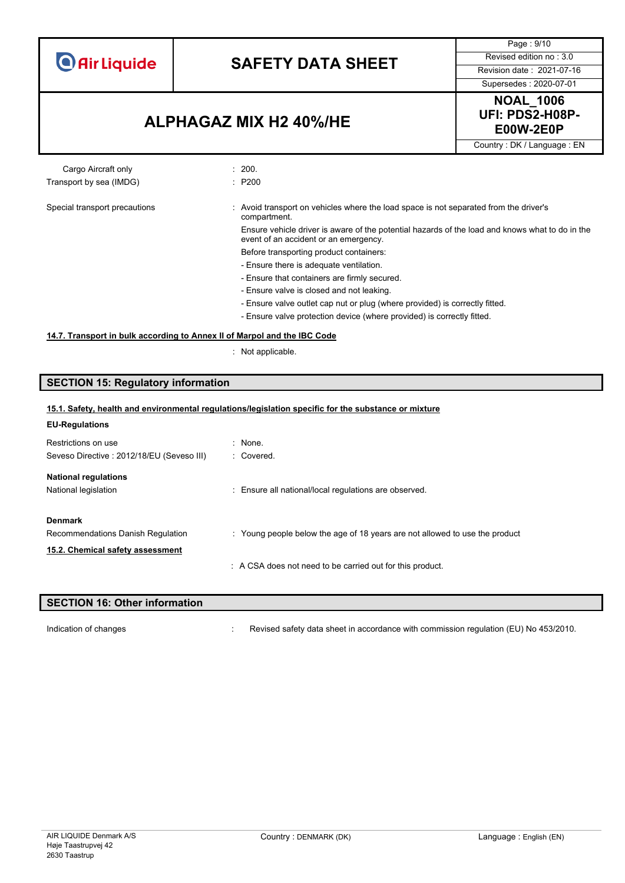# **SAFETY DATA SHEET** Revised edition no : 3.0

Supersedes : 2020-07-01

Page : 9/10

### **E00W-2E0P ALPHAGAZ MIX H2 40%/HE**



Country : DK / Language : EN

#### Cargo Aircraft only **Example 200.** 200. Transport by sea (IMDG)  $\qquad \qquad$ : P200

#### Special transport precautions : Avoid transport on vehicles where the load space is not separated from the driver's compartment. Ensure vehicle driver is aware of the potential hazards of the load and knows what to do in the

event of an accident or an emergency. Before transporting product containers:

- Ensure there is adequate ventilation.
- Ensure that containers are firmly secured.
- Ensure valve is closed and not leaking.
- Ensure valve outlet cap nut or plug (where provided) is correctly fitted.
- Ensure valve protection device (where provided) is correctly fitted.

#### **14.7. Transport in bulk according to Annex II of Marpol and the IBC Code**

: Not applicable.

#### **SECTION 15: Regulatory information**

| 15.1. Safety, health and environmental regulations/legislation specific for the substance or mixture |                                                                             |  |
|------------------------------------------------------------------------------------------------------|-----------------------------------------------------------------------------|--|
| <b>EU-Regulations</b>                                                                                |                                                                             |  |
| Restrictions on use                                                                                  | $:$ None.                                                                   |  |
| Seveso Directive: 2012/18/EU (Seveso III)                                                            | : Covered.                                                                  |  |
| <b>National regulations</b>                                                                          |                                                                             |  |
| National legislation                                                                                 | : Ensure all national/local regulations are observed.                       |  |
| <b>Denmark</b>                                                                                       |                                                                             |  |
| Recommendations Danish Regulation                                                                    | : Young people below the age of 18 years are not allowed to use the product |  |
| 15.2. Chemical safety assessment                                                                     |                                                                             |  |
|                                                                                                      | : A CSA does not need to be carried out for this product.                   |  |
|                                                                                                      |                                                                             |  |

# **SECTION 16: Other information**

Indication of changes **in the visible of the CO** is revised safety data sheet in accordance with commission regulation (EU) No 453/2010.